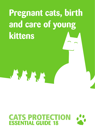## **Pregnant cats, birth and care of young kittens**

# **CATS PROTECTION**<br>**ESSENTIAL GUIDE 18**

 $A, A, A, A$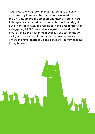Cats Protection (CP) recommends neutering as the only effective way to reduce the number of unwanted cats in the UK. Cats are prolific breeders and their offspring need to be speedily neutered or the population will quickly get out of control. In fact, one female cat can be responsible for a staggering 20,000 descendants in just five years! In spite of CP assisting the neutering of over 175,000 cats in the UK each year, there are still thousands of unwanted cats and kittens in animal charities up and down the country needing loving homes.

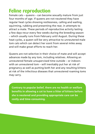#### **Feline reproduction**

Female cats – queens – can become sexually mature from just four months of age. If queens are not neutered they have regular heat cycles showing restlessness, calling and wailing, squirming, rubbing and presenting the rear, in attempts to attract a mate. These periods of reproductive activity lasting a few days recur every few weeks during the breeding season – which usually runs from February until August. During these heat cycles, a queen will be very attractive to unneutered male tom cats which can detect her scent from several miles away and will make great efforts to reach her.

Queens are not selective in their choice of mate and will accept advances made by any tom, including relatives. Allowing an unneutered female unsupervised time outside – or indoors with an unneutered tom – will inevitably put her at risk of pregnancy as well as putting both her and any resulting kittens at risk of the infectious diseases that unneutered roaming toms may carry.

**Contrary to popular belief, there are no health or welfare benefits in allowing a cat to have a litter of kittens before she is neutered and providing appropriate care can be costly and time-consuming.**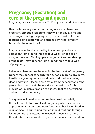#### **Pregnancy (Gestation) and care of the pregnant queen**

Pregnancy lasts approximately 63-65 days – around nine weeks.

Heat cycles usually stop after mating once a cat becomes pregnant, although sometimes they will continue. If mating occurs again during the pregnancy this can lead to further foetuses being conceived and kittens born with different fathers in the same litter!

Pregnancy can be diagnosed by the vet using abdominal palpation from around three to four weeks of age or by using ultrasound. Pinking up – enlargement and reddening of the teats – may be seen from around three to four weeks of pregnancy.

Behaviour changes may be seen in the last week of pregnancy. Queens may appear to search for a suitable place to give birth. Ideally, pregnant queens should be introduced to a quiet, clean and warm kittening area away from the family and other pets at least two weeks before the expected date for birth. Provide warm blankets and clean sheets that can be washed and replaced as necessary.

The queen will need to eat more than usual, especially in the last three to four weeks of pregnancy when she needs approximately 25 per cent more food. Feed her kitten food in regular meals. This feeding regime should continue through lactation until the kittens are weaned – queens use more than double their normal energy requirements when suckling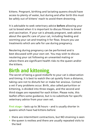kittens. Pregnant, birthing and lactating queens should have access to plenty of water, but during and after birth this must be safely out of kittens' reach to avoid them drowning.

It is advisable to seek veterinary advice **before** allowing your cat to breed when it is important to discuss fitness to breed and vaccination. If your cat is already pregnant, seek advice about the specific care of your cat, including feeding and worming your cat and treating it for fleas. Ensure you use treatments which are safe for use during pregnancy.

Neutering during pregnancy can be performed and is best discussed with your own vet. You may wish to discuss neutering your cat following an unwanted mating or where there are significant health risks to the queen and/or the kittens.

#### **Birth and kittening**

The secret of being a good midwife to your cat is observation and timing. It is best to watch the cat quietly from a distance, taking care not to disturb her or make her anxious. Contact a vet if any problems occur. Birth, also called parturition or kittening, is divided into three stages, and the second and third stages are repeated for each kitten. Please note, this leaflet offers some guidance, but is no substitute for specific veterinary advice from your own vet.

**First stage** – lasts up to 36 hours – and is usually shorter in queens which have had kittens before:

- **•** there are intermittent contractions, but NO straining is seen
- **•** the queen is restless and there are usually repeated visits to the bed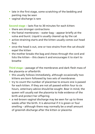- **•** late in the first stage, some scratching of the bedding and panting may be seen
- **•** vaginal discharge is rare

**Second stage** – lasts five to 30 minutes for each kitten:

- **•** there are stronger contractions
- **•** the foetal membranes water bag appear briefly at the vulva and burst. Liquid is usually cleared up by the cat
- **•** active straining starts and the kitten usually comes out head first
- **•** once the head is out, one or two strains from the cat should expel the kitten
- **•** the mother breaks the bag and chews through the cord and licks the kitten – this cleans it and encourages it to start to breathe

**Third stage** – passage of the membranes and dark flesh mass of the placenta or afterbirth:

- **•** this usually follows immediately, although occasionally two kittens are born followed by two sets of membranes
- **•** try to count the number of placentae to ensure one is passed for each kitten. If they are not all passed within four to six hours, veterinary advice should be sought. Bear in mind, the queen will usually eat the placenta to hide evidence of the birth and protect her offspring
- **•** a red-brown vaginal discharge may be seen for up to three weeks after the birth. It is abnormal if it is green or foul smelling – although there may normally be a small amount of greenish discharge after the kitten or placenta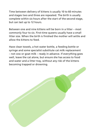Time between delivery of kittens is usually 10 to 60 minutes and stages two and three are repeated. The birth is usually complete within six hours after the start of the second stage, but can last up to 12 hours.

Between one and nine kittens will be born in a litter – most commonly four to six. First-time queens usually have a small litter size. When the birth is finished the mother will settle and allow the kittens to feed.

Have clean towels, a hot water bottle, a feeding bottle or syringe and some specialist substitute cat milk replacement – not cow or goat milk – ready in advance. If everything goes well, leave the cat alone, but ensure she has access to food and water and a litter tray, without any risk of the kittens becoming trapped or drowning.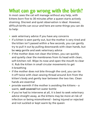## **What can go wrong with the birth?**

In most cases the cat will manage without any help, with kittens born five to 30 minutes after a queen starts actively straining. Discreet and quiet observation is ideal. However, difficult births can occur and here are some things you can do to help:

- **•** seek veterinary advice if you have any concerns
- **•** if a kitten is seen partly out, but the mother is very tired and the kitten isn't passed within a few seconds, you can gently try to pull it out by pulling downwards with clean hands, but be **very** gentle and seek veterinary advice
- **•** if the mother does not clean the kitten, you can quickly and quietly clear the membranes from its head with clean, soft kitchen roll. Wipe its nose and open the mouth to clear it. Rub the kitten in small circular movements to get it breathing
- **•** if the mother does not bite through the cord, you can tie it off twice with clean sewing thread around 3cm from the kitten's body and gently tear between the two ties. Clean hands are essential
- **•** provide warmth if the mother is avoiding the kittens a warm, **well covered** hot water bottle
- **•** if you've had to intervene at all, it is best to seek veterinary advice straight away, as the kittens may be more at risk of infection or being mismothered – being injured or rejected and not suckled or kept warm by the queen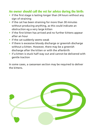#### **An owner should call the vet for advice during the birth:**

- **•** if the first stage is lasting longer than 24 hours without any sign of straining
- **•** if the cat has been straining for more than 30 minutes without producing anything, as this could indicate an obstruction eg a very large kitten
- **•** if the first kitten has arrived and no further kittens appear after an hour
- **•** if the cat suddenly seems weak
- **•** if there is excessive bloody discharge or greenish discharge without a kitten. However, there may be a greenish discharge after the kitten or with the afterbirth
- **•** if a kitten is stuck half-way out and cannot be delivered with gentle traction

In some cases, a caesarean section may be required to deliver the kittens.

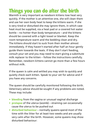#### **Things you can do after the birth**

Warmth is very important as newborn kittens lose heat very quickly. If the mother is an attentive one, she will clean them and use her own body heat to keep the kittens warm. If she is very tired or disturbed she may ignore them, in which case heat must be supplied, via a heat pad or a covered hot water bottle – no hotter than body temperature – and the kittens should be covered with a light towel or blanket. Keep the room temperature warm and the bedding clean and dry. The kittens should start to suck from their mother almost immediately. If they haven't started after half an hour gently guide them towards the teats. If they don't start feeding, consult your vet and you may need to start giving a substitute milk replacer to the kitten – follow the instructions carefully. Remember, newborn kittens cannot go more than a few hours without milk.

If the queen is calm and settled you may wish to quickly and quietly check each kitten. Speak to your vet for advice and if you have any concerns.

The queen should be carefully monitored following the birth. Veterinary advice should be sought if any problems are noted. These may include:

- **• bleeding** from the vagina or unusual vaginal discharge
- **• prolapse** of the uterus (womb) straining can occasionally cause the uterus to be pushed out
- **• disturbed behaviour** normally queens spend most of the time with the litter for at least two weeks and are usually very calm after the birth. However, some queens may show disturbed behaviour: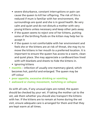- severe disturbance, constant interruptions or pain can cause the queen to kill her offspring. The risk of this is reduced if mum is familiar with her environment, the surroundings are quiet and she is in good health. Be very calm and quiet and do not disturb a mother with very young kittens unless necessary and keep other pets away
- if the queen seems to reject one of her kittens, putting some of the birthing fluids on the kitten may help her to accept it
- if the queen is not comfortable with her environment and feels she or the kittens are at risk of threat, she may try to move the kittens in her mouth to a preferred location. It is important to ensure the queen has access to a warm, clean and quiet place. She may appreciate a cardboard box lined with soft blankets and sheets to hide the kittens in.
- ignoring kittens
- **• mastitis** infection of usually one mammary gland, which becomes hot, painful and enlarged. The queen may be off colour
- **• poor appetite, excessive drinking or vomiting**
- **• awkward or clumsy movement, twitching or collapse**

As with all cats, if any unusual signs are noted, the queen should be checked by your vet. If taking the mother cat to the vet, ask them whether you should also transport the kittens with her. If the kittens are to remain at home during the vet visit, ensure adequate care is arranged for them and that they are kept warm at all times.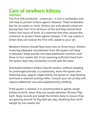#### **Care of newborn kittens Nutrition**

The first milk produced – colostrum – is rich in antibodies and will help to protect kittens against diseases. These antibodies last for six weeks or more. Kittens can only absorb colostrum during their first 16 to 24 hours of life and they should feed within two hours of birth. It is essential that they receive this colostrum to protect them against disease. If for any reason a kitten does not receive the first milk, speak to your vet.

Newborn kittens should feed every two to three hours. Kittens receiving adequate nourishment from the queen will sleep in between feeds and do not need additional nutrition until three to four weeks old. If not receiving sufficient food from the queen they may constantly cry and seek the teats.

Distressed newborn kittens may be restless, without sleeping for prolonged periods, cry excessively, leave the queen and kittening area, appear neglected by the queen or stop feeding and have a reduced sucking reflex. Consult your vet as they will require additional care and supplementary feeding.

If the queen is relaxed, it is recommended to gently weigh kittens at birth, when they are usually between 90 and 110g each. Keep records and weigh the kittens daily to ensure they are gaining around 10-15g each per day, doubling their birth weight by two weeks old.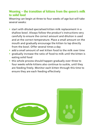#### **Weaning – the transition of kittens from the queen's milk to solid food**

Weaning can begin at three to four weeks of age but will take several weeks:

- **•** start with diluted specialised kitten milk replacement in a shallow bowl. Always follow the product's instructions very carefully to ensure the correct amount and dilution is used and at the correct temperature. Place a small amount on the mouth and gradually encourage the kitten to lap directly from the bowl. Offer several times a day
- **•** add a small amount of wet kitten food to the milk over time
- **•** gradually increase the ratio of food to milk until the kitten is eating solid food
- **•** this whole process should happen gradually over three to four weeks while kittens also continue to suckle, until they are feeding freely. Monitor each kitten through this time to ensure they are each feeding effectively

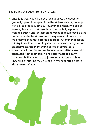Separating the queen from the kittens:

- **•** once fully weaned, it is a good idea to allow the queen to gradually spend time apart from the kittens each day to help her milk to gradually dry up. However, the kittens will still be learning from her, so kittens should not be fully separated from the queen until at least eight weeks of age. It may be best not to separate the kittens from the queen all at once as her mammary glands may become engorged. A common reaction is to try to mother something else, such as a cuddly toy. Instead gradually separate them over a period of several days
- **•** some behavioural issues may be seen when kittens are fully separated from their queen and litter mates too early – for example the retention of juvenile behaviours such as kneading or sucking may be seen in cats separated before eight weeks of age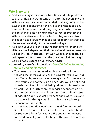#### **Veterinary care**

- **•** Seek veterinary advice on the best time and safe products to use for flea and worm control in both the queen and the kittens – some may be recommended from as young as two days of age, dependent on the risk to the kittens and any treatment the queen had during pregnancy. Also, discuss the best time to start a vaccination course, to protect the kittens from disease as the protection they received from the queen's colostrum wanes and leaves them vulnerable to disease – often at eight to nine weeks of age
- **•** Also seek your vet's advice on the best time to rehome the kittens – it will depend on their behavioural development, as well as the risk of disease. However, whenever possible, do not separate the kittens from the queen until at least eight weeks of age, except on veterinary advice
- **•** Neutering see Cats Protection's *Essential Guide: Neutering – family planning for felines*
	- The queen can be neutered while she is still with or feeding the kittens as long as the surgical wound will not be affected by enlarged mammary glands. Fortunately the spay wound will normally be on her side. You do not need to wait until her milk has dried up, though it is usually best to wait until the kittens are no longer dependent on her and neuter her when the kittens are around eight weeks of age. The queen can get pregnant again as early as one to two weeks after giving birth, so it is advisable to get her neutered promptly
	- The kittens should be neutered around four months of age. If neutering is not carried out by then, males should be separated from females and the queen – to prevent in-breeding. Ask your vet for help with sexing the kittens, if needed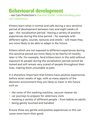#### **Behavioural development**

– see Cats Protection's *Essential Guide: Understanding your cat's behaviour*.

Kittens learn what is normal and safe during a very sensitive period of development between two and eight weeks of age – the 'socialisation period.' Having a variety of positive experiences during this time period – for example with different sights, sounds, textures and smells – will mean they are more likely to be able to adapt in the future.

Kittens which are not exposed to different experiences during this sensitive period are more likely to be fearful of novelty later in life. For example, feral kittens born in the wild without exposure to people during the socialisation period cannot be tamed and will remain very scared of people throughout their lives, making them unsuitable as pets.

It is therefore important that kittens have positive experiences before seven weeks of age, with as many aspects of the domestic environment they are likely to meet in the future such as:

- **•** the noise of the washing machine, vacuum cleaner etc
- **•** car journeys to prepare for veterinary visits
- **•** meeting a variety of different people from babies to adults
- **•** being gently touched and handled

Ensure these are gentle and positive experiences or this can cause more harm than good.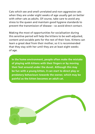Cats which see and smell unrelated and non-aggressive cats when they are under eight weeks of age usually get on better with other cats as adults. Of course, take care to avoid any stress to the queen and maintain good hygiene standards to prevent the transmission of disease – so avoid direct contact.

Making the most of opportunities for socialisation during this sensitive period will help the kittens to be well-adjusted, content and sociable pets for the rest of their lives. Kittens can learn a great deal from their mother, so it is recommended that they stay with her until they are at least eight weeks of age.

**In the home environment, people often make the mistake of playing with kittens with their fingers or by moving their feet around under the duvet. Although this may be fun with a young kitten, it can start to direct play or predatory behaviours towards the owner, which may be painful as the kitten becomes an adult cat.**

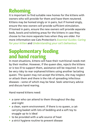## **Rehoming**

It is important to find suitable new homes for the kittens with owners who will provide for them and have them neutered. Kittens may be homed singly or in pairs, but if homed singly, ensure the new owners will provide sufficient stimulation. If homed in pairs, ensure the new owners will provide separate beds, bowls and toileting areas for the kittens in case they choose to live more separate lives when they are older. For more information see Cats Protection's *Essential Guides: Caring for your kitten* and *Understanding your cat's behaviour*.

#### **Supplementary feeding and hand rearing**

In most situations, kittens will have their nutritional needs met by their mother. However, if the queen dies, rejects the kittens or is too ill to support them, assistance will be required. It can be very risky to rear orphaned kittens using another lactating queen. The queen may not accept the kittens, she may neglect or attack them and there is the risk of spreading infectious diseases – some of which may be fatal. Seek veterinary advice and discuss hand rearing.

Hand reared kittens need:

- **•** a carer who can attend to them throughout the day and night
- **•** a clean, warm environment. If there is no queen, a catcarrying basket with lots of bedding and a soft toy to snuggle up to is ideal
- **•** to be provided with a safe source of heat
- **•** a strict hygiene routine to prevent disease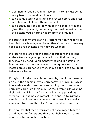- **•** a consistent feeding regime. Newborn kittens must be fed every two to two and half hours
- **•** to be stimulated to pass urine and faeces before and after each feed until at least three weeks old
- **•** to be adequately socialised with positive experiences and given the opportunity to be taught normal behaviour that the kittens would normally learn from their queen

If a queen is only temporarily ill, kittens may only need to be hand fed for a few days, while in other situations kittens may need to be fed by hand until they are weaned.

If a litter is too large for the queen to support and as long as the kittens are gaining some milk from their mother, they may only need supplementary feeding. If possible, it is important that they remain with their queen and litter mates because orphaned kittens may be at risk of developing behavioural issues.

If staying with the queen is not possible, then kittens need to be given the opportunity to learn normal behaviour, such as how to deal with frustration – something the kittens would normally learn from their mum. As the kitten starts weaning, slightly delay giving the feed as well as delay providing attention – including eye contact – as opposed to instantly meeting the kitten's every demand. However, it is equally important to ensure the kitten's nutritional needs are met.

It is also essential that kittens are not encouraged to bite or attack hands or fingers and that these behaviours are not reinforced by an excited reaction.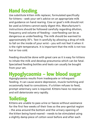## **Hand feeding**

Use substitute kitten milk replacer, formulated specifically for kittens – seek your vet's advice on an appropriate milk and guidance on hand rearing. Cow or goat's milk should not be used as kittens cannot easily digest this. Manufacturer's instructions should be followed carefully regarding dilution, frequency and volume of feeding – overfeeding can be as dangerous as underfeeding. The milk should be warmed to approximately 35°c. Test it carefully by allowing a drop of milk to fall on the inside of your wrist – you will not feel it when it is the right temperature. It is important that the milk is not too hot or too cold.

Feeding should be done with great care as it is easy for kittens to inhale the milk and develop pneumonia which can be fatal. Specialised feeding bottles and teats can usually be bought from your vet.

### **Hypoglycaemia – low blood sugar**

Hypoglycaemia results from inadequate or infrequent feeding. It can cause severe depression, muscle twitching and occasionally lead to convulsions. If a kitten refuses to feed, prompt veterinary care is required. Kittens have no reserves and will deteriorate very rapidly.

## **Toileting**

Kittens are unable to pass urine or faeces without assistance for the first few weeks of their lives so the ano-genital region – the area around the bottom and the urinary opening of the kitten being hand-reared – needs to be stimulated using a slightly damp piece of cotton wool before and after each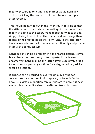feed to encourage toileting. The mother would normally do this by licking the rear end of kittens before, during and after feeding.

This should be carried out in the litter tray if possible so that the kittens learn to associate the feeling of litter under their feet with going to the toilet. From about four weeks of age, simply placing them in the litter tray should encourage them to pass urine and faeces on their own. Ensure the litter tray has shallow sides so the kittens can access it easily and provide litter with a sandy texture.

Constipation can be a problem in hand reared kittens. Normal faeces have the consistency of toothpaste. If the faeces become very hard, making the kitten strain excessively or if a kitten does not pass any motions for a day, veterinary advice should be sought.

Diarrhoea can be caused by overfeeding, by giving too concentrated a solution of milk replacer, or by an infection. Because a kitten's condition can deteriorate rapidly, it is best to consult your vet if a kitten is suffering from diarrhoea.

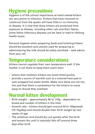### **Hygiene precautions**

Hygiene is of the utmost importance as hand reared kittens are very prone to infection. Kittens that have received no colostrum from the queen will have little or no immunity to disease. It is vital that these kittens are protected from exposure to disease, including other cats and their faeces. Some feline infectious diseases can be fatal or lead to lifelong health issues.

Personal hygiene when preparing feeds and toileting kittens should be excellent and utensils used for preparing or administering the milk should be safely sterilised – seek advice from your vet.

#### **Temperature considerations**

Kittens cannot regulate their own temperature well. If the mother is not there to keep them warm then:

- **•** ensure that newborn kittens are towel dried quickly
- **•** provide a source of warmth such as a covered heat pad or well wrapped hot water bottle. Make sure these are not too hot and that there is somewhere for the kittens to move away to should they overheat

#### **Normal kitten development**

- **•** Birth weight approximately 90 to 110g dependent on breed and number of kittens in the litter
- **•** Growth rate kittens should gain around 50 to 100g/week (10-15g/day) and should double their birth weight by two weeks of age
- **•** The umbilical cord should dry out quickly after the birth and remain dry until it naturally falls off around three days after birth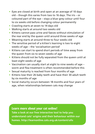- **•** Eyes are closed at birth and open at an average of 10 days old – though this varies from two to 16 days. The iris – or coloured part of the eye – stays a blue-grey colour until four to six weeks old before changing colour permanently
- **•** Crawling starts at seven to 14 days old
- **•** Walking starts at around two weeks old
- **•** Kittens cannot pass urine and faeces without stimulation of the rear end by the queen until around three weeks of age
- **•** Weaning starts at around three to four weeks old
- **•** The sensitive period of a kitten's learning is two to eight weeks of age – the 'socialisation period'
- **•** Kittens can start to spend short periods of time away from the queen from six to seven weeks of age
- **•** Kittens should not be fully separated from the queen until at least eight weeks of age
- **•** Vaccination can usually start at eight to nine weeks of age worm and flea treatment is often recommended before this
- **•** Sexual maturity is reached from four months of age
- **•** Kittens lose their 26 baby teeth and have their 30 adult teeth by six months of age
- **•** Social maturity occurs between 18 months and four years of age, when relationships between cats may change

**Learn more about your cat online! Take a look at our free interactive tool to help you understand cats' origins and their behaviour within our homes. http://learnonline.cats.org.uk/content/ufo**